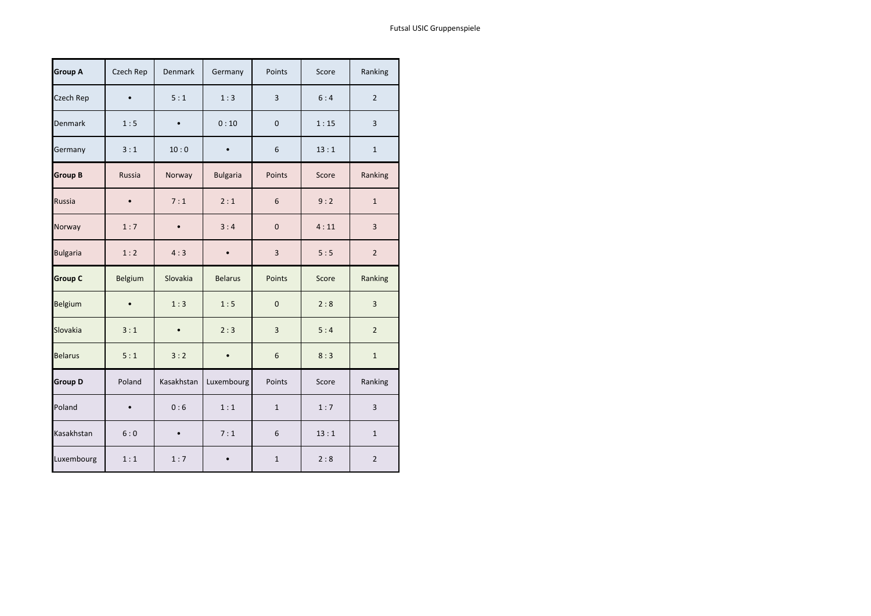| <b>Group A</b>  | Czech Rep     | Denmark    | Germany         | Points       | Score | Ranking        |
|-----------------|---------------|------------|-----------------|--------------|-------|----------------|
| Czech Rep       |               | 5:1        | 1:3             | 3            | 6:4   | $\overline{2}$ |
| Denmark         | 1:5           |            | 0:10            | $\mathbf 0$  | 1:15  | 3              |
| Germany         | 3:1           | 10:0       |                 | 6            | 13:1  | $\mathbf{1}$   |
| <b>Group B</b>  | <b>Russia</b> | Norway     | <b>Bulgaria</b> | Points       | Score | Ranking        |
| Russia          |               | 7:1        | 2:1             | 6            | 9:2   | $\mathbf{1}$   |
| Norway          | 1:7           |            | 3:4             | $\mathbf 0$  | 4:11  | 3              |
| <b>Bulgaria</b> | 1:2           | 4:3        |                 | 3            | 5:5   | $\overline{2}$ |
|                 |               |            |                 |              |       |                |
| <b>Group C</b>  | Belgium       | Slovakia   | <b>Belarus</b>  | Points       | Score | Ranking        |
| Belgium         |               | 1:3        | 1:5             | $\mathbf 0$  | 2:8   | 3              |
| Slovakia        | 3:1           |            | 2:3             | 3            | 5:4   | $\overline{2}$ |
| <b>Belarus</b>  | 5:1           | 3:2        |                 | 6            | 8:3   | $\mathbf{1}$   |
| <b>Group D</b>  | Poland        | Kasakhstan | Luxembourg      | Points       | Score | Ranking        |
| Poland          |               | 0:6        | 1:1             | $\mathbf{1}$ | 1:7   | 3              |
| Kasakhstan      | 6:0           |            | 7:1             | 6            | 13:1  | $\mathbf{1}$   |